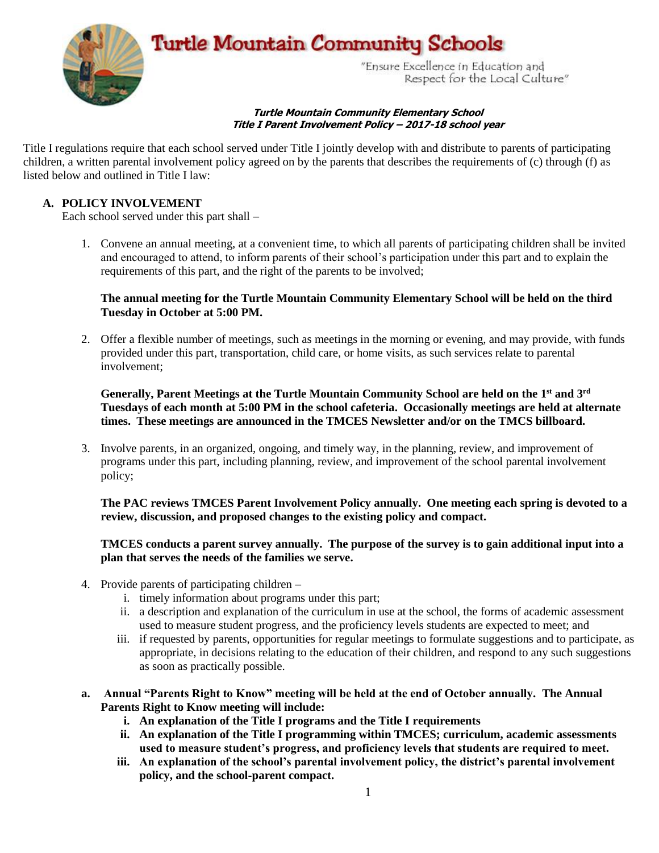

#### **Turtle Mountain Community Elementary School Title I Parent Involvement Policy – 2017-18 school year**

Title I regulations require that each school served under Title I jointly develop with and distribute to parents of participating children, a written parental involvement policy agreed on by the parents that describes the requirements of (c) through (f) as listed below and outlined in Title I law:

### **A. POLICY INVOLVEMENT**

Each school served under this part shall –

1. Convene an annual meeting, at a convenient time, to which all parents of participating children shall be invited and encouraged to attend, to inform parents of their school's participation under this part and to explain the requirements of this part, and the right of the parents to be involved;

#### **The annual meeting for the Turtle Mountain Community Elementary School will be held on the third Tuesday in October at 5:00 PM.**

2. Offer a flexible number of meetings, such as meetings in the morning or evening, and may provide, with funds provided under this part, transportation, child care, or home visits, as such services relate to parental involvement;

**Generally, Parent Meetings at the Turtle Mountain Community School are held on the 1st and 3rd Tuesdays of each month at 5:00 PM in the school cafeteria. Occasionally meetings are held at alternate times. These meetings are announced in the TMCES Newsletter and/or on the TMCS billboard.**

3. Involve parents, in an organized, ongoing, and timely way, in the planning, review, and improvement of programs under this part, including planning, review, and improvement of the school parental involvement policy;

**The PAC reviews TMCES Parent Involvement Policy annually. One meeting each spring is devoted to a review, discussion, and proposed changes to the existing policy and compact.**

#### **TMCES conducts a parent survey annually. The purpose of the survey is to gain additional input into a plan that serves the needs of the families we serve.**

- 4. Provide parents of participating children
	- i. timely information about programs under this part;
	- ii. a description and explanation of the curriculum in use at the school, the forms of academic assessment used to measure student progress, and the proficiency levels students are expected to meet; and
	- iii. if requested by parents, opportunities for regular meetings to formulate suggestions and to participate, as appropriate, in decisions relating to the education of their children, and respond to any such suggestions as soon as practically possible.
- **a. Annual "Parents Right to Know" meeting will be held at the end of October annually. The Annual Parents Right to Know meeting will include:**
	- **i. An explanation of the Title I programs and the Title I requirements**
	- **ii. An explanation of the Title I programming within TMCES; curriculum, academic assessments used to measure student's progress, and proficiency levels that students are required to meet.**
	- **iii. An explanation of the school's parental involvement policy, the district's parental involvement policy, and the school-parent compact.**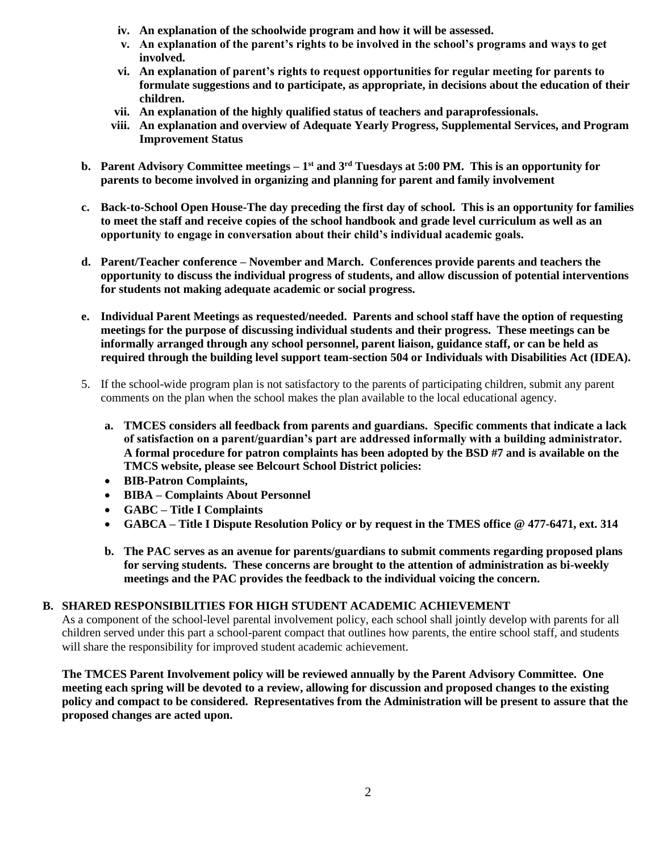- **iv. An explanation of the schoolwide program and how it will be assessed.**
- **v. An explanation of the parent's rights to be involved in the school's programs and ways to get involved.**
- **vi. An explanation of parent's rights to request opportunities for regular meeting for parents to formulate suggestions and to participate, as appropriate, in decisions about the education of their children.**
- **vii. An explanation of the highly qualified status of teachers and paraprofessionals.**
- **viii. An explanation and overview of Adequate Yearly Progress, Supplemental Services, and Program Improvement Status**
- **b. Parent Advisory Committee meetings – 1 st and 3rd Tuesdays at 5:00 PM. This is an opportunity for parents to become involved in organizing and planning for parent and family involvement**
- **c. Back-to-School Open House-The day preceding the first day of school. This is an opportunity for families to meet the staff and receive copies of the school handbook and grade level curriculum as well as an opportunity to engage in conversation about their child's individual academic goals.**
- **d. Parent/Teacher conference – November and March. Conferences provide parents and teachers the opportunity to discuss the individual progress of students, and allow discussion of potential interventions for students not making adequate academic or social progress.**
- **e. Individual Parent Meetings as requested/needed. Parents and school staff have the option of requesting meetings for the purpose of discussing individual students and their progress. These meetings can be informally arranged through any school personnel, parent liaison, guidance staff, or can be held as required through the building level support team-section 504 or Individuals with Disabilities Act (IDEA).**
- 5. If the school-wide program plan is not satisfactory to the parents of participating children, submit any parent comments on the plan when the school makes the plan available to the local educational agency.
	- **a. TMCES considers all feedback from parents and guardians. Specific comments that indicate a lack of satisfaction on a parent/guardian's part are addressed informally with a building administrator. A formal procedure for patron complaints has been adopted by the BSD #7 and is available on the TMCS website, please see Belcourt School District policies:**
	- **BIB-Patron Complaints,**
	- **BIBA – Complaints About Personnel**
	- **GABC – Title I Complaints**
	- **GABCA – Title I Dispute Resolution Policy or by request in the TMES office @ 477-6471, ext. 314**
	- **b. The PAC serves as an avenue for parents/guardians to submit comments regarding proposed plans for serving students. These concerns are brought to the attention of administration as bi-weekly meetings and the PAC provides the feedback to the individual voicing the concern.**

# **B. SHARED RESPONSIBILITIES FOR HIGH STUDENT ACADEMIC ACHIEVEMENT**

As a component of the school-level parental involvement policy, each school shall jointly develop with parents for all children served under this part a school-parent compact that outlines how parents, the entire school staff, and students will share the responsibility for improved student academic achievement.

**The TMCES Parent Involvement policy will be reviewed annually by the Parent Advisory Committee. One meeting each spring will be devoted to a review, allowing for discussion and proposed changes to the existing policy and compact to be considered. Representatives from the Administration will be present to assure that the proposed changes are acted upon.**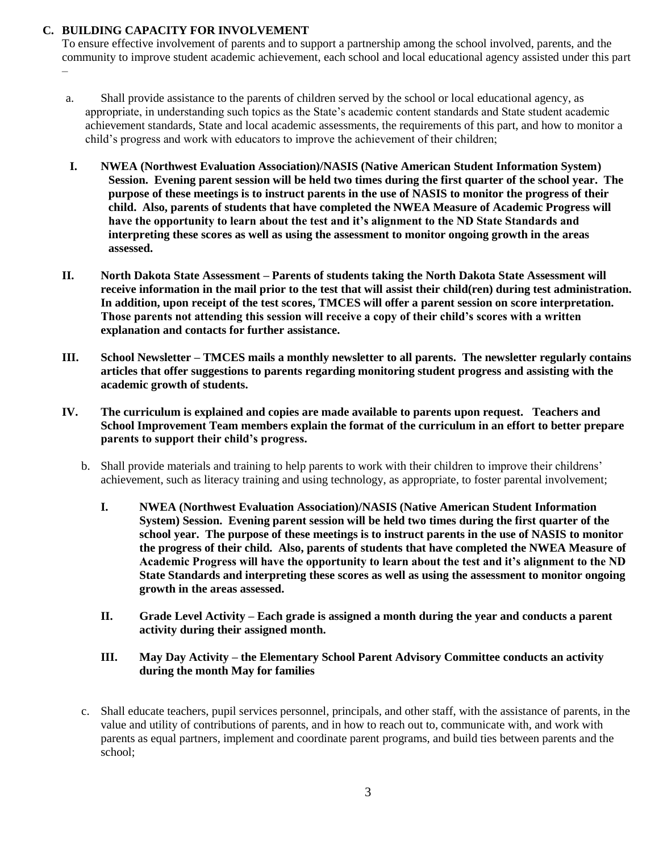# **C. BUILDING CAPACITY FOR INVOLVEMENT**

–

To ensure effective involvement of parents and to support a partnership among the school involved, parents, and the community to improve student academic achievement, each school and local educational agency assisted under this part

- a. Shall provide assistance to the parents of children served by the school or local educational agency, as appropriate, in understanding such topics as the State's academic content standards and State student academic achievement standards, State and local academic assessments, the requirements of this part, and how to monitor a child's progress and work with educators to improve the achievement of their children;
- **I. NWEA (Northwest Evaluation Association)/NASIS (Native American Student Information System) Session. Evening parent session will be held two times during the first quarter of the school year. The purpose of these meetings is to instruct parents in the use of NASIS to monitor the progress of their child. Also, parents of students that have completed the NWEA Measure of Academic Progress will have the opportunity to learn about the test and it's alignment to the ND State Standards and interpreting these scores as well as using the assessment to monitor ongoing growth in the areas assessed.**
- **II. North Dakota State Assessment – Parents of students taking the North Dakota State Assessment will receive information in the mail prior to the test that will assist their child(ren) during test administration. In addition, upon receipt of the test scores, TMCES will offer a parent session on score interpretation. Those parents not attending this session will receive a copy of their child's scores with a written explanation and contacts for further assistance.**
- **III. School Newsletter – TMCES mails a monthly newsletter to all parents. The newsletter regularly contains articles that offer suggestions to parents regarding monitoring student progress and assisting with the academic growth of students.**
- **IV. The curriculum is explained and copies are made available to parents upon request. Teachers and School Improvement Team members explain the format of the curriculum in an effort to better prepare parents to support their child's progress.**
	- b. Shall provide materials and training to help parents to work with their children to improve their childrens' achievement, such as literacy training and using technology, as appropriate, to foster parental involvement;
		- **I. NWEA (Northwest Evaluation Association)/NASIS (Native American Student Information System) Session. Evening parent session will be held two times during the first quarter of the school year. The purpose of these meetings is to instruct parents in the use of NASIS to monitor the progress of their child. Also, parents of students that have completed the NWEA Measure of Academic Progress will have the opportunity to learn about the test and it's alignment to the ND State Standards and interpreting these scores as well as using the assessment to monitor ongoing growth in the areas assessed.**
		- **II. Grade Level Activity – Each grade is assigned a month during the year and conducts a parent activity during their assigned month.**

#### **III. May Day Activity – the Elementary School Parent Advisory Committee conducts an activity during the month May for families**

c. Shall educate teachers, pupil services personnel, principals, and other staff, with the assistance of parents, in the value and utility of contributions of parents, and in how to reach out to, communicate with, and work with parents as equal partners, implement and coordinate parent programs, and build ties between parents and the school;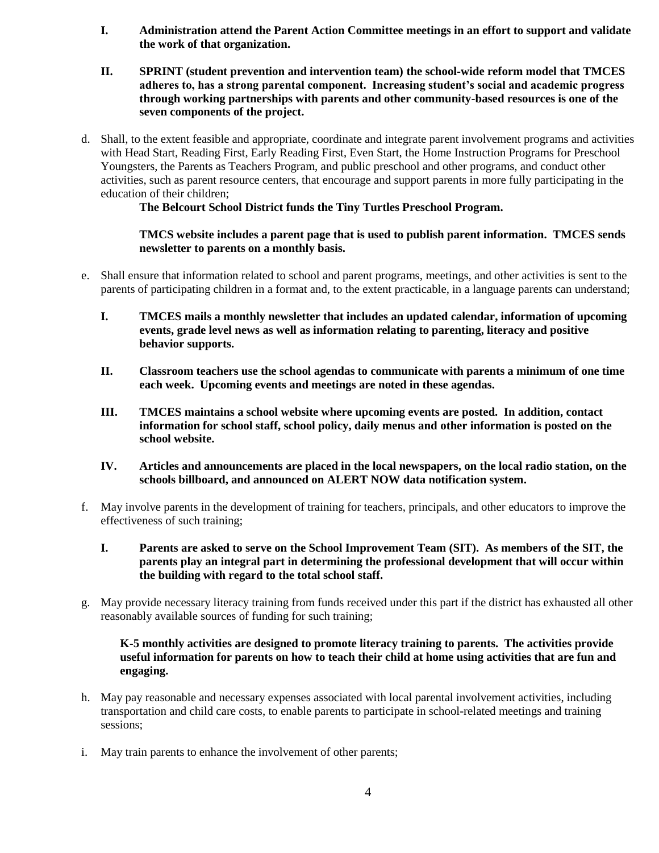- **I. Administration attend the Parent Action Committee meetings in an effort to support and validate the work of that organization.**
- **II. SPRINT (student prevention and intervention team) the school-wide reform model that TMCES adheres to, has a strong parental component. Increasing student's social and academic progress through working partnerships with parents and other community-based resources is one of the seven components of the project.**
- d. Shall, to the extent feasible and appropriate, coordinate and integrate parent involvement programs and activities with Head Start, Reading First, Early Reading First, Even Start, the Home Instruction Programs for Preschool Youngsters, the Parents as Teachers Program, and public preschool and other programs, and conduct other activities, such as parent resource centers, that encourage and support parents in more fully participating in the education of their children;

**The Belcourt School District funds the Tiny Turtles Preschool Program.**

### **TMCS website includes a parent page that is used to publish parent information. TMCES sends newsletter to parents on a monthly basis.**

- e. Shall ensure that information related to school and parent programs, meetings, and other activities is sent to the parents of participating children in a format and, to the extent practicable, in a language parents can understand;
	- **I. TMCES mails a monthly newsletter that includes an updated calendar, information of upcoming events, grade level news as well as information relating to parenting, literacy and positive behavior supports.**
	- **II. Classroom teachers use the school agendas to communicate with parents a minimum of one time each week. Upcoming events and meetings are noted in these agendas.**
	- **III. TMCES maintains a school website where upcoming events are posted. In addition, contact information for school staff, school policy, daily menus and other information is posted on the school website.**
	- **IV. Articles and announcements are placed in the local newspapers, on the local radio station, on the schools billboard, and announced on ALERT NOW data notification system.**
- f. May involve parents in the development of training for teachers, principals, and other educators to improve the effectiveness of such training;
	- **I. Parents are asked to serve on the School Improvement Team (SIT). As members of the SIT, the parents play an integral part in determining the professional development that will occur within the building with regard to the total school staff.**
- g. May provide necessary literacy training from funds received under this part if the district has exhausted all other reasonably available sources of funding for such training;

#### **K-5 monthly activities are designed to promote literacy training to parents. The activities provide useful information for parents on how to teach their child at home using activities that are fun and engaging.**

- h. May pay reasonable and necessary expenses associated with local parental involvement activities, including transportation and child care costs, to enable parents to participate in school-related meetings and training sessions;
- i. May train parents to enhance the involvement of other parents;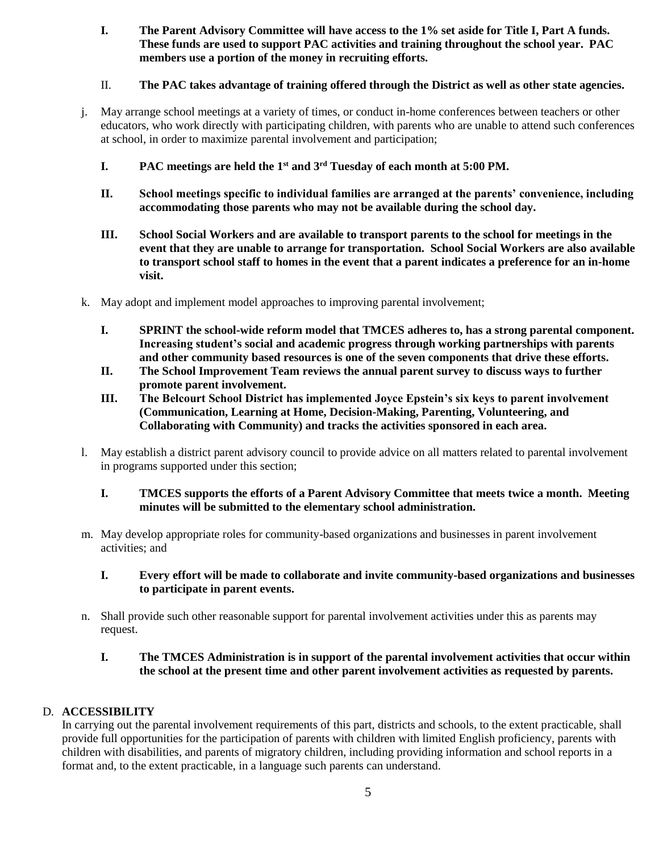**I. The Parent Advisory Committee will have access to the 1% set aside for Title I, Part A funds. These funds are used to support PAC activities and training throughout the school year. PAC members use a portion of the money in recruiting efforts.**

# II. **The PAC takes advantage of training offered through the District as well as other state agencies.**

- j. May arrange school meetings at a variety of times, or conduct in-home conferences between teachers or other educators, who work directly with participating children, with parents who are unable to attend such conferences at school, in order to maximize parental involvement and participation;
	- **I. PAC meetings are held the 1st and 3rd Tuesday of each month at 5:00 PM.**
	- **II. School meetings specific to individual families are arranged at the parents' convenience, including accommodating those parents who may not be available during the school day.**
	- **III. School Social Workers and are available to transport parents to the school for meetings in the event that they are unable to arrange for transportation. School Social Workers are also available to transport school staff to homes in the event that a parent indicates a preference for an in-home visit.**
- k. May adopt and implement model approaches to improving parental involvement;
	- **I. SPRINT the school-wide reform model that TMCES adheres to, has a strong parental component. Increasing student's social and academic progress through working partnerships with parents and other community based resources is one of the seven components that drive these efforts.**
	- **II. The School Improvement Team reviews the annual parent survey to discuss ways to further promote parent involvement.**
	- **III. The Belcourt School District has implemented Joyce Epstein's six keys to parent involvement (Communication, Learning at Home, Decision-Making, Parenting, Volunteering, and Collaborating with Community) and tracks the activities sponsored in each area.**
- l. May establish a district parent advisory council to provide advice on all matters related to parental involvement in programs supported under this section;

#### **I. TMCES supports the efforts of a Parent Advisory Committee that meets twice a month. Meeting minutes will be submitted to the elementary school administration.**

m. May develop appropriate roles for community-based organizations and businesses in parent involvement activities; and

# **I. Every effort will be made to collaborate and invite community-based organizations and businesses to participate in parent events.**

n. Shall provide such other reasonable support for parental involvement activities under this as parents may request.

# **I. The TMCES Administration is in support of the parental involvement activities that occur within the school at the present time and other parent involvement activities as requested by parents.**

# D. **ACCESSIBILITY**

In carrying out the parental involvement requirements of this part, districts and schools, to the extent practicable, shall provide full opportunities for the participation of parents with children with limited English proficiency, parents with children with disabilities, and parents of migratory children, including providing information and school reports in a format and, to the extent practicable, in a language such parents can understand.